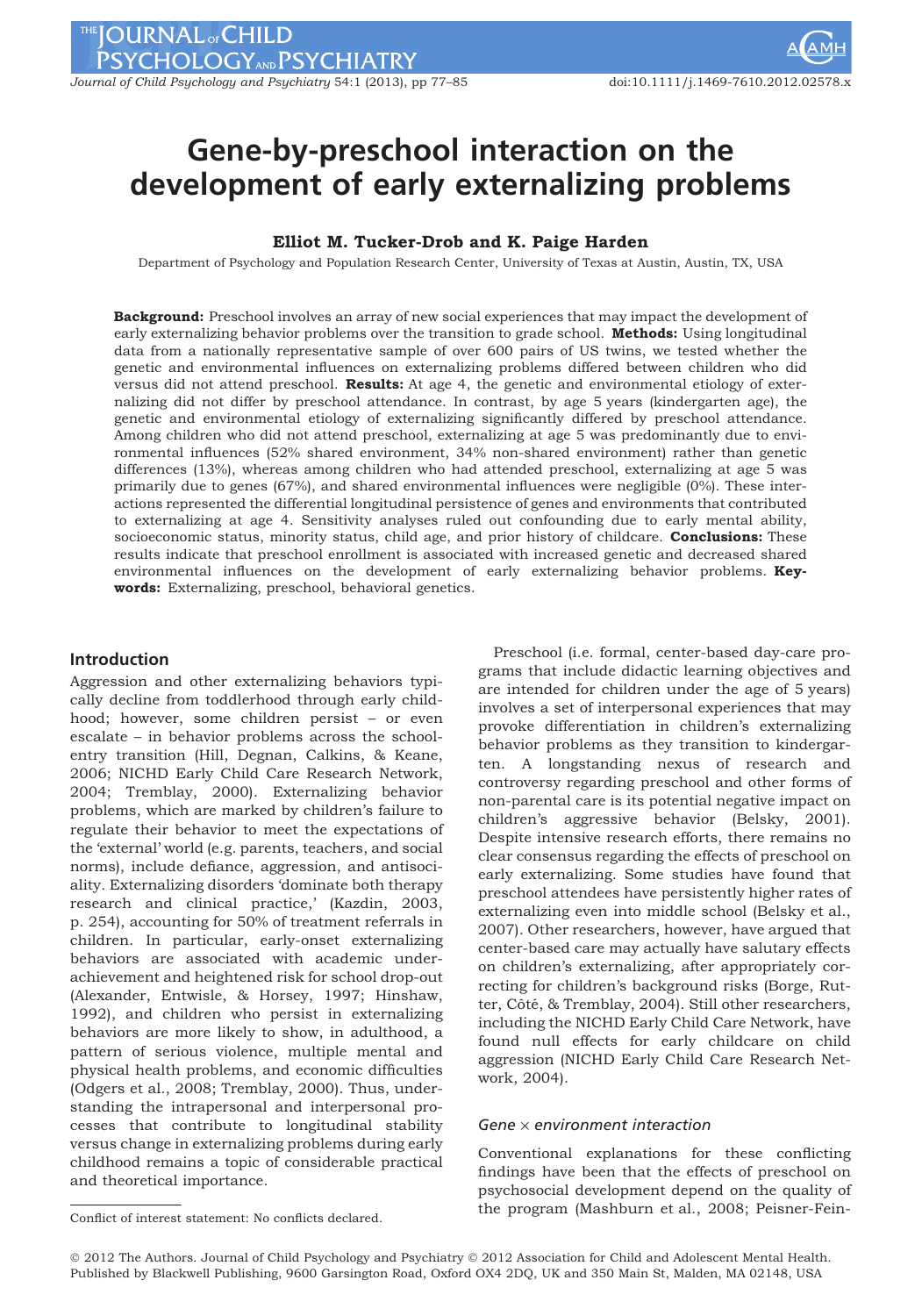THE JOURNAL OF CHILD **PSYCHOLOGYAND PSYCHIATRY** 

Journal of Child Psychology and Psychiatry 54:1 (2013), pp 77–85 doi:10.1111/j.1469-7610.2012.02578.x

# Gene-by-preschool interaction on the development of early externalizing problems

# Elliot M. Tucker-Drob and K. Paige Harden

Department of Psychology and Population Research Center, University of Texas at Austin, Austin, TX, USA

**Background:** Preschool involves an array of new social experiences that may impact the development of early externalizing behavior problems over the transition to grade school. **Methods:** Using longitudinal data from a nationally representative sample of over 600 pairs of US twins, we tested whether the genetic and environmental influences on externalizing problems differed between children who did versus did not attend preschool. Results: At age 4, the genetic and environmental etiology of externalizing did not differ by preschool attendance. In contrast, by age 5 years (kindergarten age), the genetic and environmental etiology of externalizing significantly differed by preschool attendance. Among children who did not attend preschool, externalizing at age 5 was predominantly due to environmental influences (52% shared environment, 34% non-shared environment) rather than genetic differences (13%), whereas among children who had attended preschool, externalizing at age 5 was primarily due to genes (67%), and shared environmental influences were negligible (0%). These interactions represented the differential longitudinal persistence of genes and environments that contributed to externalizing at age 4. Sensitivity analyses ruled out confounding due to early mental ability, socioeconomic status, minority status, child age, and prior history of childcare. **Conclusions:** These results indicate that preschool enrollment is associated with increased genetic and decreased shared environmental influences on the development of early externalizing behavior problems. Keywords: Externalizing, preschool, behavioral genetics.

### Introduction

Aggression and other externalizing behaviors typically decline from toddlerhood through early childhood; however, some children persist – or even escalate – in behavior problems across the schoolentry transition (Hill, Degnan, Calkins, & Keane, 2006; NICHD Early Child Care Research Network, 2004; Tremblay, 2000). Externalizing behavior problems, which are marked by children's failure to regulate their behavior to meet the expectations of the 'external' world (e.g. parents, teachers, and social norms), include defiance, aggression, and antisociality. Externalizing disorders 'dominate both therapy research and clinical practice,' (Kazdin, 2003, p. 254), accounting for 50% of treatment referrals in children. In particular, early-onset externalizing behaviors are associated with academic underachievement and heightened risk for school drop-out (Alexander, Entwisle, & Horsey, 1997; Hinshaw, 1992), and children who persist in externalizing behaviors are more likely to show, in adulthood, a pattern of serious violence, multiple mental and physical health problems, and economic difficulties (Odgers et al., 2008; Tremblay, 2000). Thus, understanding the intrapersonal and interpersonal processes that contribute to longitudinal stability versus change in externalizing problems during early childhood remains a topic of considerable practical and theoretical importance.

Preschool (i.e. formal, center-based day-care programs that include didactic learning objectives and are intended for children under the age of 5 years) involves a set of interpersonal experiences that may provoke differentiation in children's externalizing behavior problems as they transition to kindergarten. A longstanding nexus of research and controversy regarding preschool and other forms of non-parental care is its potential negative impact on children's aggressive behavior (Belsky, 2001). Despite intensive research efforts, there remains no clear consensus regarding the effects of preschool on early externalizing. Some studies have found that preschool attendees have persistently higher rates of externalizing even into middle school (Belsky et al., 2007). Other researchers, however, have argued that center-based care may actually have salutary effects on children's externalizing, after appropriately correcting for children's background risks (Borge, Rutter, Côté, & Tremblay, 2004). Still other researchers, including the NICHD Early Child Care Network, have found null effects for early childcare on child aggression (NICHD Early Child Care Research Network, 2004).

#### Gene  $\times$  environment interaction

Conventional explanations for these conflicting findings have been that the effects of preschool on psychosocial development depend on the quality of The program (Mashburn et al., 2008; Peisner-Fein-<br>Conflict of interest statement: No conflicts declared.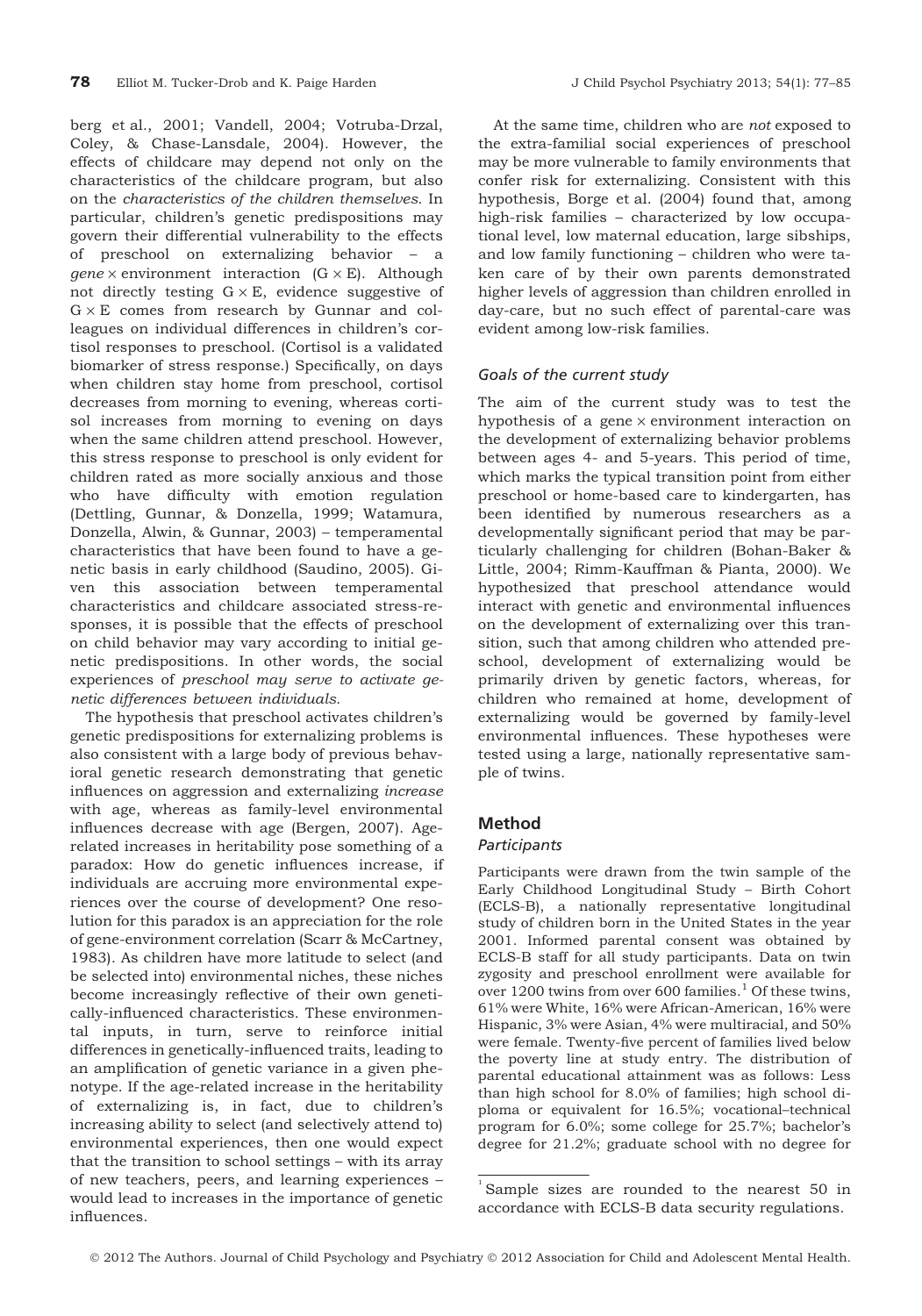berg et al., 2001; Vandell, 2004; Votruba-Drzal, Coley, & Chase-Lansdale, 2004). However, the effects of childcare may depend not only on the characteristics of the childcare program, but also on the characteristics of the children themselves. In particular, children's genetic predispositions may govern their differential vulnerability to the effects of preschool on externalizing behavior – a gene  $\times$  environment interaction (G  $\times$  E). Although not directly testing  $G \times E$ , evidence suggestive of  $G \times E$  comes from research by Gunnar and colleagues on individual differences in children's cortisol responses to preschool. (Cortisol is a validated biomarker of stress response.) Specifically, on days when children stay home from preschool, cortisol decreases from morning to evening, whereas cortisol increases from morning to evening on days when the same children attend preschool. However, this stress response to preschool is only evident for children rated as more socially anxious and those who have difficulty with emotion regulation (Dettling, Gunnar, & Donzella, 1999; Watamura, Donzella, Alwin, & Gunnar, 2003) – temperamental characteristics that have been found to have a genetic basis in early childhood (Saudino, 2005). Given this association between temperamental characteristics and childcare associated stress-responses, it is possible that the effects of preschool on child behavior may vary according to initial genetic predispositions. In other words, the social experiences of preschool may serve to activate genetic differences between individuals.

The hypothesis that preschool activates children's genetic predispositions for externalizing problems is also consistent with a large body of previous behavioral genetic research demonstrating that genetic influences on aggression and externalizing increase with age, whereas as family-level environmental influences decrease with age (Bergen, 2007). Agerelated increases in heritability pose something of a paradox: How do genetic influences increase, if individuals are accruing more environmental experiences over the course of development? One resolution for this paradox is an appreciation for the role of gene-environment correlation (Scarr & McCartney, 1983). As children have more latitude to select (and be selected into) environmental niches, these niches become increasingly reflective of their own genetically-influenced characteristics. These environmental inputs, in turn, serve to reinforce initial differences in genetically-influenced traits, leading to an amplification of genetic variance in a given phenotype. If the age-related increase in the heritability of externalizing is, in fact, due to children's increasing ability to select (and selectively attend to) environmental experiences, then one would expect that the transition to school settings – with its array of new teachers, peers, and learning experiences – would lead to increases in the importance of genetic influences.

At the same time, children who are not exposed to the extra-familial social experiences of preschool may be more vulnerable to family environments that confer risk for externalizing. Consistent with this hypothesis, Borge et al. (2004) found that, among high-risk families – characterized by low occupational level, low maternal education, large sibships, and low family functioning – children who were taken care of by their own parents demonstrated higher levels of aggression than children enrolled in day-care, but no such effect of parental-care was evident among low-risk families.

# Goals of the current study

The aim of the current study was to test the hypothesis of a gene  $\times$  environment interaction on the development of externalizing behavior problems between ages 4- and 5-years. This period of time, which marks the typical transition point from either preschool or home-based care to kindergarten, has been identified by numerous researchers as a developmentally significant period that may be particularly challenging for children (Bohan-Baker & Little, 2004; Rimm-Kauffman & Pianta, 2000). We hypothesized that preschool attendance would interact with genetic and environmental influences on the development of externalizing over this transition, such that among children who attended preschool, development of externalizing would be primarily driven by genetic factors, whereas, for children who remained at home, development of externalizing would be governed by family-level environmental influences. These hypotheses were tested using a large, nationally representative sample of twins.

# Method

#### **Participants**

Participants were drawn from the twin sample of the Early Childhood Longitudinal Study – Birth Cohort (ECLS-B), a nationally representative longitudinal study of children born in the United States in the year 2001. Informed parental consent was obtained by ECLS-B staff for all study participants. Data on twin zygosity and preschool enrollment were available for over 1200 twins from over 600 families.<sup>1</sup> Of these twins, 61% were White, 16% were African-American, 16% were Hispanic, 3% were Asian, 4% were multiracial, and 50% were female. Twenty-five percent of families lived below the poverty line at study entry. The distribution of parental educational attainment was as follows: Less than high school for 8.0% of families; high school diploma or equivalent for 16.5%; vocational–technical program for 6.0%; some college for 25.7%; bachelor's degree for 21.2%; graduate school with no degree for

<sup>1</sup> Sample sizes are rounded to the nearest 50 in accordance with ECLS-B data security regulations.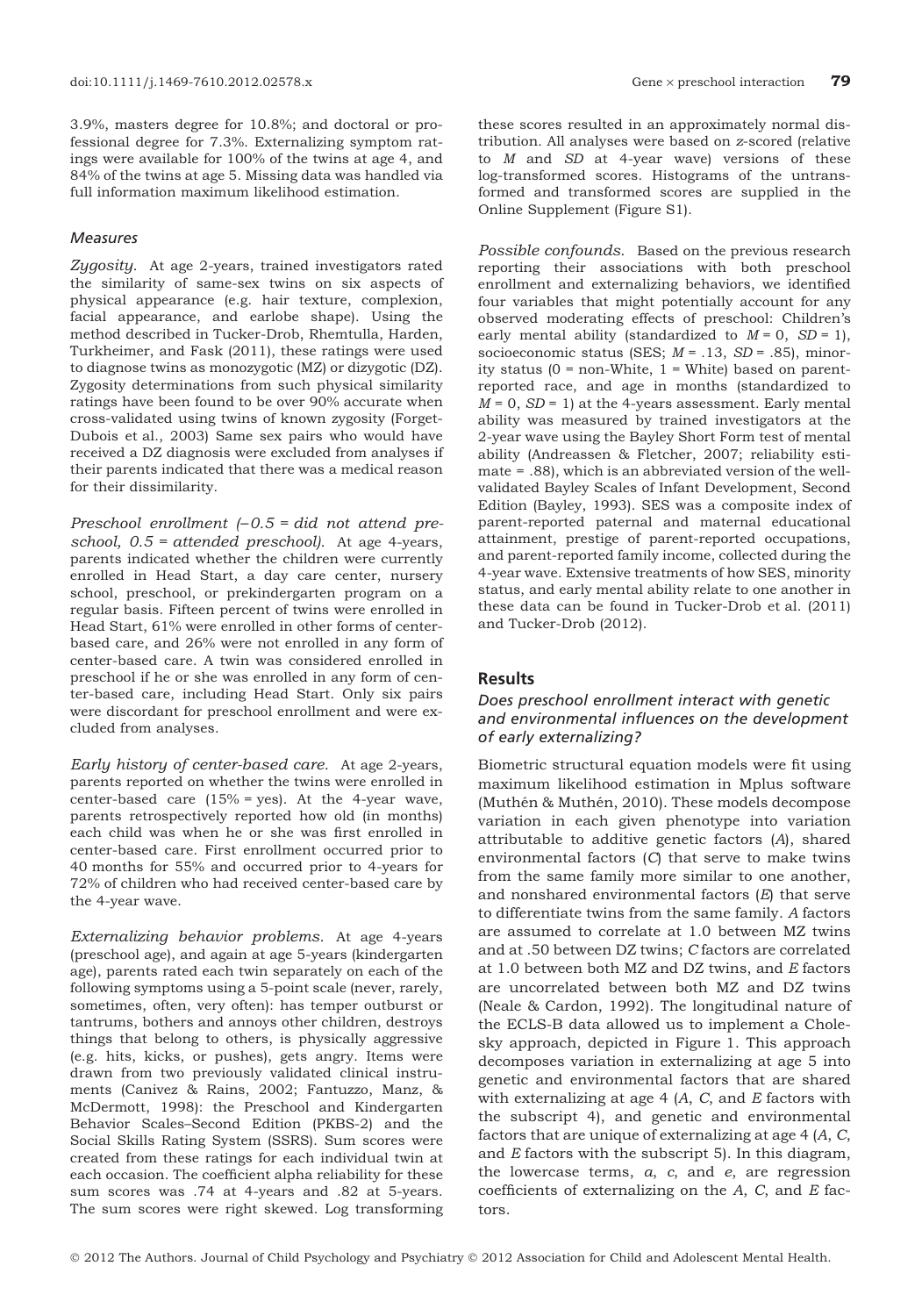3.9%, masters degree for 10.8%; and doctoral or professional degree for 7.3%. Externalizing symptom ratings were available for 100% of the twins at age 4, and 84% of the twins at age 5. Missing data was handled via full information maximum likelihood estimation.

## Measures

Zygosity. At age 2-years, trained investigators rated the similarity of same-sex twins on six aspects of physical appearance (e.g. hair texture, complexion, facial appearance, and earlobe shape). Using the method described in Tucker-Drob, Rhemtulla, Harden, Turkheimer, and Fask (2011), these ratings were used to diagnose twins as monozygotic (MZ) or dizygotic (DZ). Zygosity determinations from such physical similarity ratings have been found to be over 90% accurate when cross-validated using twins of known zygosity (Forget-Dubois et al., 2003) Same sex pairs who would have received a DZ diagnosis were excluded from analyses if their parents indicated that there was a medical reason for their dissimilarity.

Preschool enrollment  $(-0.5 = did not attend pre$ school, 0.5 = attended preschool). At age 4-years, parents indicated whether the children were currently enrolled in Head Start, a day care center, nursery school, preschool, or prekindergarten program on a regular basis. Fifteen percent of twins were enrolled in Head Start, 61% were enrolled in other forms of centerbased care, and 26% were not enrolled in any form of center-based care. A twin was considered enrolled in preschool if he or she was enrolled in any form of center-based care, including Head Start. Only six pairs were discordant for preschool enrollment and were excluded from analyses.

Early history of center-based care. At age 2-years, parents reported on whether the twins were enrolled in center-based care (15% = yes). At the 4-year wave, parents retrospectively reported how old (in months) each child was when he or she was first enrolled in center-based care. First enrollment occurred prior to 40 months for 55% and occurred prior to 4-years for 72% of children who had received center-based care by the 4-year wave.

Externalizing behavior problems. At age 4-years (preschool age), and again at age 5-years (kindergarten age), parents rated each twin separately on each of the following symptoms using a 5-point scale (never, rarely, sometimes, often, very often): has temper outburst or tantrums, bothers and annoys other children, destroys things that belong to others, is physically aggressive (e.g. hits, kicks, or pushes), gets angry. Items were drawn from two previously validated clinical instruments (Canivez & Rains, 2002; Fantuzzo, Manz, & McDermott, 1998): the Preschool and Kindergarten Behavior Scales–Second Edition (PKBS-2) and the Social Skills Rating System (SSRS). Sum scores were created from these ratings for each individual twin at each occasion. The coefficient alpha reliability for these sum scores was .74 at 4-years and .82 at 5-years. The sum scores were right skewed. Log transforming these scores resulted in an approximately normal distribution. All analyses were based on z-scored (relative to  $M$  and  $SD$  at 4-year wave) versions of these log-transformed scores. Histograms of the untransformed and transformed scores are supplied in the Online Supplement (Figure S1).

Possible confounds. Based on the previous research reporting their associations with both preschool enrollment and externalizing behaviors, we identified four variables that might potentially account for any observed moderating effects of preschool: Children's early mental ability (standardized to  $M = 0$ ,  $SD = 1$ ), socioeconomic status (SES;  $M = .13$ ,  $SD = .85$ ), minority status ( $0 = non-White$ ,  $1 = White$ ) based on parentreported race, and age in months (standardized to  $M = 0$ ,  $SD = 1$ ) at the 4-years assessment. Early mental ability was measured by trained investigators at the 2-year wave using the Bayley Short Form test of mental ability (Andreassen & Fletcher, 2007; reliability estimate = .88), which is an abbreviated version of the wellvalidated Bayley Scales of Infant Development, Second Edition (Bayley, 1993). SES was a composite index of parent-reported paternal and maternal educational attainment, prestige of parent-reported occupations, and parent-reported family income, collected during the 4-year wave. Extensive treatments of how SES, minority status, and early mental ability relate to one another in these data can be found in Tucker-Drob et al. (2011) and Tucker-Drob (2012).

# Results

# Does preschool enrollment interact with genetic and environmental influences on the development of early externalizing?

Biometric structural equation models were fit using maximum likelihood estimation in Mplus software (Muthén & Muthén, 2010). These models decompose variation in each given phenotype into variation attributable to additive genetic factors (A), shared environmental factors (C) that serve to make twins from the same family more similar to one another, and nonshared environmental factors (E) that serve to differentiate twins from the same family. A factors are assumed to correlate at 1.0 between MZ twins and at .50 between DZ twins; C factors are correlated at 1.0 between both MZ and DZ twins, and E factors are uncorrelated between both MZ and DZ twins (Neale & Cardon, 1992). The longitudinal nature of the ECLS-B data allowed us to implement a Cholesky approach, depicted in Figure 1. This approach decomposes variation in externalizing at age 5 into genetic and environmental factors that are shared with externalizing at age  $4$  (A, C, and E factors with the subscript 4), and genetic and environmental factors that are unique of externalizing at age 4 (A, C, and E factors with the subscript 5). In this diagram, the lowercase terms,  $a$ ,  $c$ , and  $e$ , are regression coefficients of externalizing on the  $A$ ,  $C$ , and  $E$  factors.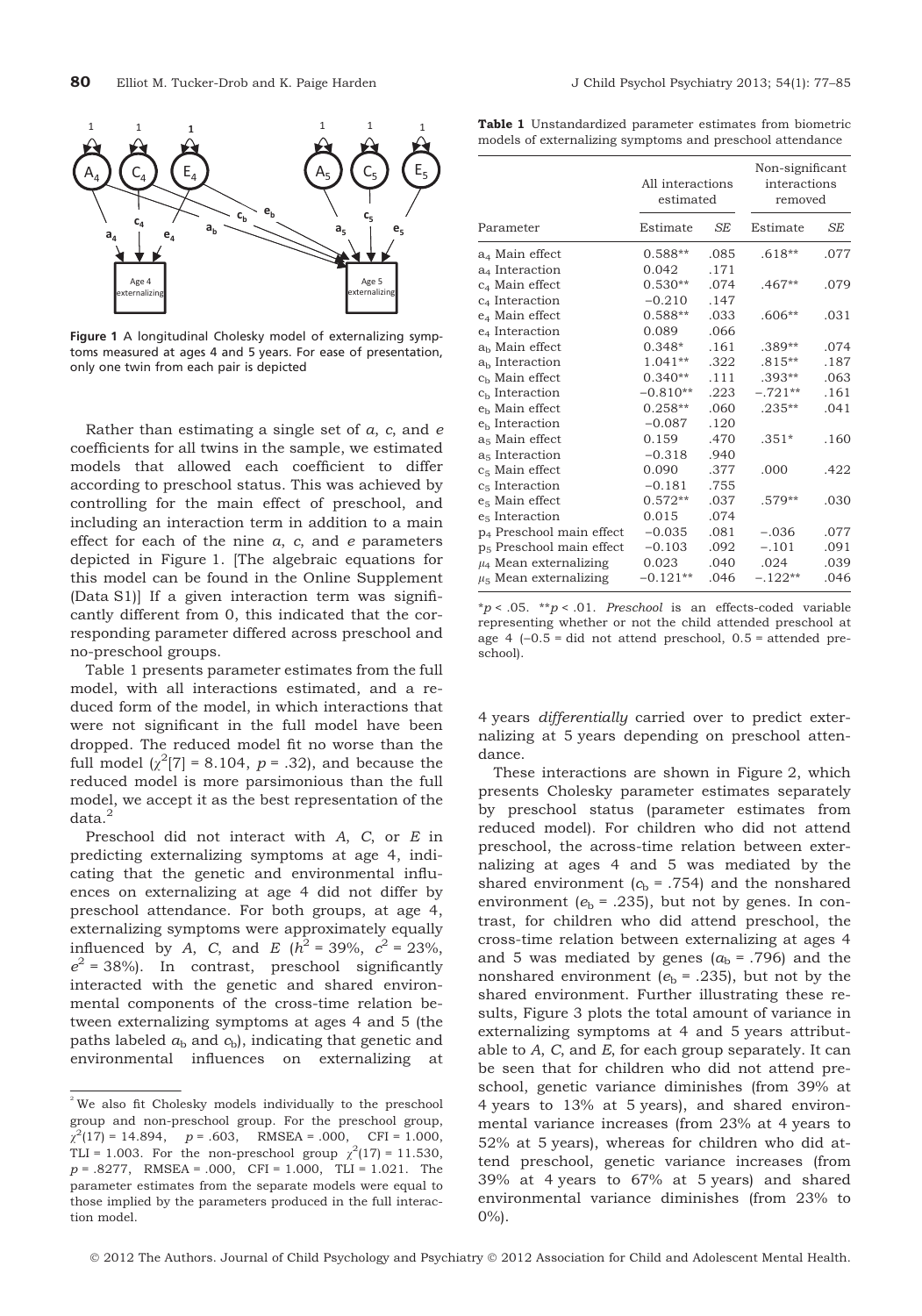

Figure 1 A longitudinal Cholesky model of externalizing symptoms measured at ages 4 and 5 years. For ease of presentation, only one twin from each pair is depicted

Rather than estimating a single set of  $a$ ,  $c$ , and  $e$ coefficients for all twins in the sample, we estimated models that allowed each coefficient to differ according to preschool status. This was achieved by controlling for the main effect of preschool, and including an interaction term in addition to a main effect for each of the nine  $a$ ,  $c$ , and  $e$  parameters depicted in Figure 1. [The algebraic equations for this model can be found in the Online Supplement (Data S1)] If a given interaction term was significantly different from 0, this indicated that the corresponding parameter differed across preschool and no-preschool groups.

Table 1 presents parameter estimates from the full model, with all interactions estimated, and a reduced form of the model, in which interactions that were not significant in the full model have been dropped. The reduced model fit no worse than the full model  $\chi^2[7] = 8.104, p = .32$ ), and because the reduced model is more parsimonious than the full model, we accept it as the best representation of the data.2

Preschool did not interact with A, C, or E in predicting externalizing symptoms at age 4, indicating that the genetic and environmental influences on externalizing at age 4 did not differ by preschool attendance. For both groups, at age 4, externalizing symptoms were approximately equally influenced by A, C, and E  $(h^2 = 39\%, c^2 = 23\%,$  $e^2$  = 38%). In contrast, preschool significantly interacted with the genetic and shared environmental components of the cross-time relation between externalizing symptoms at ages 4 and 5 (the paths labeled  $a<sub>b</sub>$  and  $c<sub>b</sub>$ ), indicating that genetic and environmental influences on externalizing at

Table 1 Unstandardized parameter estimates from biometric models of externalizing symptoms and preschool attendance

| Parameter                             | All interactions<br>estimated |           | Non-significant<br>interactions<br>removed |      |
|---------------------------------------|-------------------------------|-----------|--------------------------------------------|------|
|                                       | Estimate                      | <b>SE</b> | Estimate                                   | SE   |
| a <sub>4</sub> Main effect            | $0.588**$                     | .085      | $.618**$                                   | .077 |
| a <sub>4</sub> Interaction            | 0.042                         | .171      |                                            |      |
| c <sub>4</sub> Main effect            | $0.530**$                     | .074      | $.467**$                                   | .079 |
| $c_4$ Interaction                     | $-0.210$                      | .147      |                                            |      |
| e <sub>4</sub> Main effect            | $0.588**$                     | .033      | $.606**$                                   | .031 |
| e <sub>4</sub> Interaction            | 0.089                         | .066      |                                            |      |
| a <sub>b</sub> Main effect            | $0.348*$                      | .161      | .389**                                     | .074 |
| a <sub>b</sub> Interaction            | $1.041**$                     | .322      | $.815**$                                   | .187 |
| $cb$ Main effect                      | $0.340**$                     | .111      | .393**                                     | .063 |
| $cb$ Interaction                      | $-0.810**$                    | .223      | $-.721**$                                  | .161 |
| e <sub>b</sub> Main effect            | $0.258**$                     | .060      | $.235**$                                   | .041 |
| e <sub>b</sub> Interaction            | $-0.087$                      | .120      |                                            |      |
| a <sub>5</sub> Main effect            | 0.159                         | .470      | $.351*$                                    | .160 |
| a <sub>5</sub> Interaction            | $-0.318$                      | .940      |                                            |      |
| c <sub>5</sub> Main effect            | 0.090                         | .377      | .000                                       | .422 |
| $c5$ Interaction                      | $-0.181$                      | .755      |                                            |      |
| e <sub>5</sub> Main effect            | $0.572**$                     | .037      | $.579**$                                   | .030 |
| e <sub>5</sub> Interaction            | 0.015                         | .074      |                                            |      |
| p <sub>4</sub> Preschool main effect  | $-0.035$                      | .081      | $-.036$                                    | .077 |
| p <sub>5</sub> Preschool main effect  | $-0.103$                      | .092      | $-.101$                                    | .091 |
| $\mu_4$ Mean externalizing            | 0.023                         | .040      | .024                                       | .039 |
| $\mu$ <sub>5</sub> Mean externalizing | $-0.121**$                    | .046      | $-.122**$                                  | .046 |

 $*p < .05.$  \*\*p < .01. Preschool is an effects-coded variable representing whether or not the child attended preschool at age 4  $(-0.5 = did not attend preschool, 0.5 = attended pre$ school).

4 years differentially carried over to predict externalizing at 5 years depending on preschool attendance.

These interactions are shown in Figure 2, which presents Cholesky parameter estimates separately by preschool status (parameter estimates from reduced model). For children who did not attend preschool, the across-time relation between externalizing at ages 4 and 5 was mediated by the shared environment ( $c<sub>b</sub> = .754$ ) and the nonshared environment ( $e<sub>b</sub>$  = .235), but not by genes. In contrast, for children who did attend preschool, the cross-time relation between externalizing at ages 4 and 5 was mediated by genes  $(a<sub>b</sub> = .796)$  and the nonshared environment ( $e<sub>b</sub>$  = .235), but not by the shared environment. Further illustrating these results, Figure 3 plots the total amount of variance in externalizing symptoms at 4 and 5 years attributable to A, C, and E, for each group separately. It can be seen that for children who did not attend preschool, genetic variance diminishes (from 39% at 4 years to 13% at 5 years), and shared environmental variance increases (from 23% at 4 years to 52% at 5 years), whereas for children who did attend preschool, genetic variance increases (from 39% at 4 years to 67% at 5 years) and shared environmental variance diminishes (from 23% to  $0\%$ ).

 $2$ <sup>2</sup> We also fit Cholesky models individually to the preschool group and non-preschool group. For the preschool group,  $\chi^2(17) = 14.894$ ,  $p = .603$ , RMSEA = .000, CFI = 1.000, TLI = 1.003. For the non-preschool group  $\chi^2(17) = 11.530$ ,  $p = .8277$ , RMSEA = .000, CFI = 1.000, TLI = 1.021. The parameter estimates from the separate models were equal to those implied by the parameters produced in the full interaction model.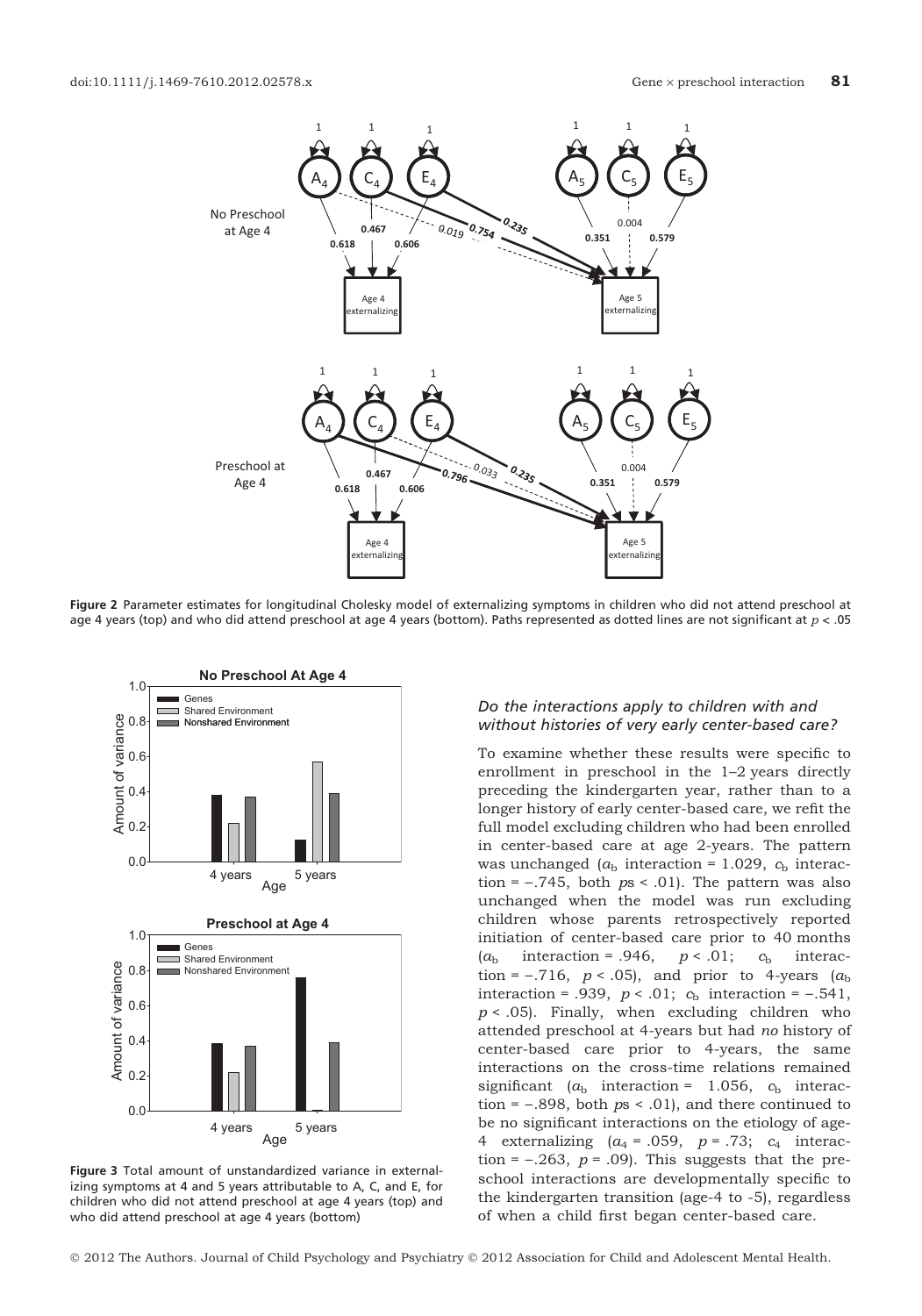

Figure 2 Parameter estimates for longitudinal Cholesky model of externalizing symptoms in children who did not attend preschool at age 4 years (top) and who did attend preschool at age 4 years (bottom). Paths represented as dotted lines are not significant at  $p < .05$ 



Figure 3 Total amount of unstandardized variance in externalizing symptoms at 4 and 5 years attributable to A, C, and E, for children who did not attend preschool at age 4 years (top) and who did attend preschool at age 4 years (bottom)

# Do the interactions apply to children with and without histories of very early center-based care?

To examine whether these results were specific to enrollment in preschool in the 1–2 years directly preceding the kindergarten year, rather than to a longer history of early center-based care, we refit the full model excluding children who had been enrolled in center-based care at age 2-years. The pattern was unchanged  $(a<sub>b</sub>$  interaction = 1.029,  $c<sub>b</sub>$  interaction =  $-.745$ , both  $ps < .01$ ). The pattern was also unchanged when the model was run excluding children whose parents retrospectively reported initiation of center-based care prior to 40 months  $(a_b$  interaction = .946,  $p < .01$ ;  $c_b$  interaction =  $-.716$ ,  $p < .05$ ), and prior to 4-years ( $a<sub>b</sub>$ interaction = .939,  $p < .01$ ;  $c<sub>b</sub>$  interaction = -.541,  $p < .05$ ). Finally, when excluding children who attended preschool at 4-years but had no history of center-based care prior to 4-years, the same interactions on the cross-time relations remained significant ( $a<sub>b</sub>$  interaction = 1.056,  $c<sub>b</sub>$  interaction =  $-.898$ , both  $ps < .01$ ), and there continued to be no significant interactions on the etiology of age-4 externalizing  $(a_4 = .059, p = .73; c_4$  interaction =  $-.263$ ,  $p = .09$ ). This suggests that the preschool interactions are developmentally specific to the kindergarten transition (age-4 to -5), regardless of when a child first began center-based care.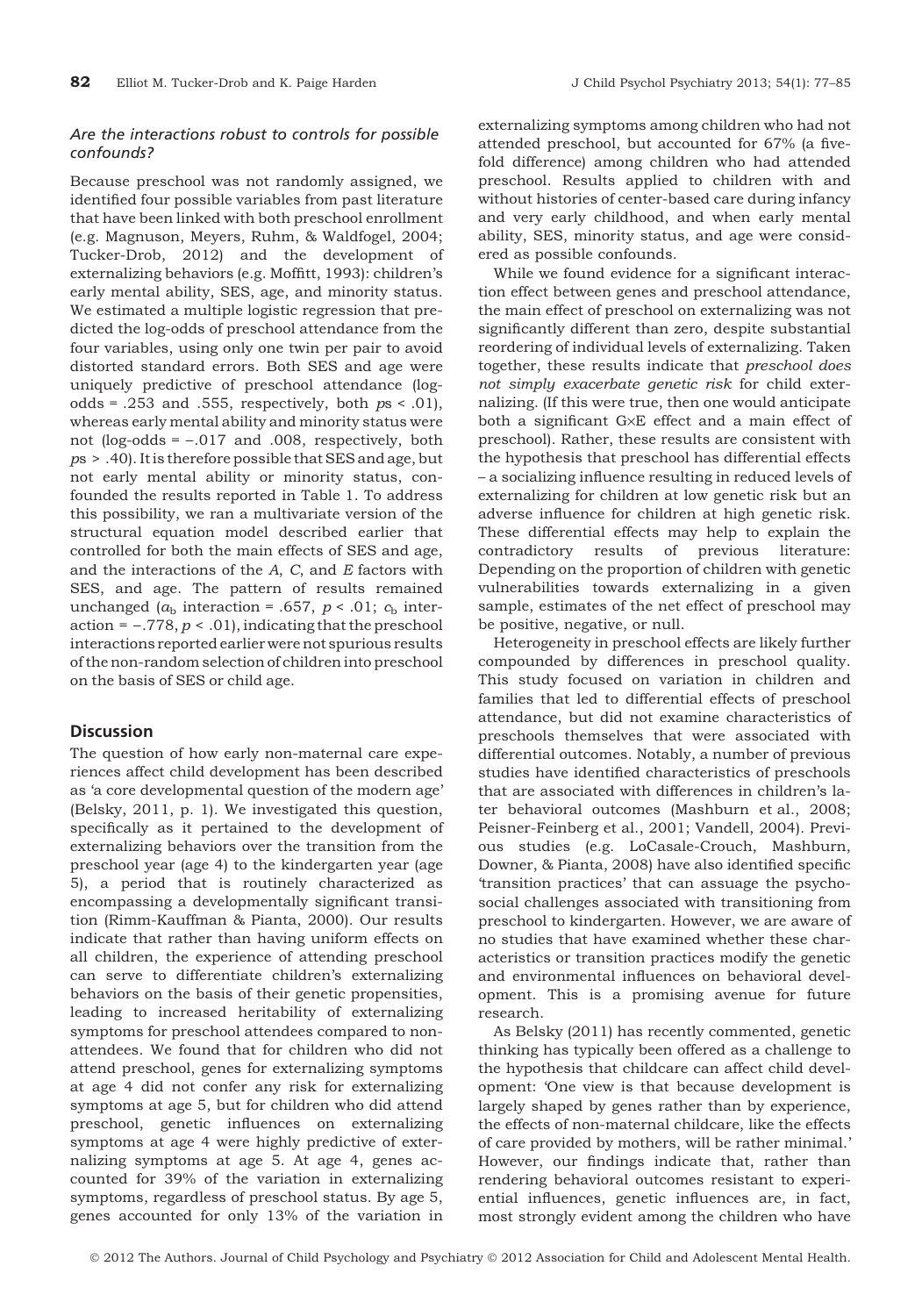# Are the interactions robust to controls for possible confounds?

Because preschool was not randomly assigned, we identified four possible variables from past literature that have been linked with both preschool enrollment (e.g. Magnuson, Meyers, Ruhm, & Waldfogel, 2004; Tucker-Drob, 2012) and the development of externalizing behaviors (e.g. Moffitt, 1993): children's early mental ability, SES, age, and minority status. We estimated a multiple logistic regression that predicted the log-odds of preschool attendance from the four variables, using only one twin per pair to avoid distorted standard errors. Both SES and age were uniquely predictive of preschool attendance (logodds = .253 and .555, respectively, both  $ps < .01$ ), whereas early mental ability and minority status were not (log-odds  $= -0.017$  and .008, respectively, both ps > .40). It is therefore possible that SES and age, but not early mental ability or minority status, confounded the results reported in Table 1. To address this possibility, we ran a multivariate version of the structural equation model described earlier that controlled for both the main effects of SES and age, and the interactions of the  $A$ ,  $C$ , and  $E$  factors with SES, and age. The pattern of results remained unchanged ( $a<sub>b</sub>$  interaction = .657,  $p < .01$ ;  $c<sub>b</sub>$  interaction =  $-.778$ ,  $p < .01$ ), indicating that the preschool interactions reported earlier were not spurious results of the non-random selection of children into preschool on the basis of SES or child age.

# **Discussion**

The question of how early non-maternal care experiences affect child development has been described as 'a core developmental question of the modern age' (Belsky, 2011, p. 1). We investigated this question, specifically as it pertained to the development of externalizing behaviors over the transition from the preschool year (age 4) to the kindergarten year (age 5), a period that is routinely characterized as encompassing a developmentally significant transition (Rimm-Kauffman & Pianta, 2000). Our results indicate that rather than having uniform effects on all children, the experience of attending preschool can serve to differentiate children's externalizing behaviors on the basis of their genetic propensities, leading to increased heritability of externalizing symptoms for preschool attendees compared to nonattendees. We found that for children who did not attend preschool, genes for externalizing symptoms at age 4 did not confer any risk for externalizing symptoms at age 5, but for children who did attend preschool, genetic influences on externalizing symptoms at age 4 were highly predictive of externalizing symptoms at age 5. At age 4, genes accounted for 39% of the variation in externalizing symptoms, regardless of preschool status. By age 5, genes accounted for only 13% of the variation in

externalizing symptoms among children who had not attended preschool, but accounted for 67% (a fivefold difference) among children who had attended preschool. Results applied to children with and without histories of center-based care during infancy and very early childhood, and when early mental ability, SES, minority status, and age were considered as possible confounds.

While we found evidence for a significant interaction effect between genes and preschool attendance, the main effect of preschool on externalizing was not significantly different than zero, despite substantial reordering of individual levels of externalizing. Taken together, these results indicate that preschool does not simply exacerbate genetic risk for child externalizing. (If this were true, then one would anticipate both a significant G×E effect and a main effect of preschool). Rather, these results are consistent with the hypothesis that preschool has differential effects – a socializing influence resulting in reduced levels of externalizing for children at low genetic risk but an adverse influence for children at high genetic risk. These differential effects may help to explain the contradictory results of previous literature: Depending on the proportion of children with genetic vulnerabilities towards externalizing in a given sample, estimates of the net effect of preschool may be positive, negative, or null.

Heterogeneity in preschool effects are likely further compounded by differences in preschool quality. This study focused on variation in children and families that led to differential effects of preschool attendance, but did not examine characteristics of preschools themselves that were associated with differential outcomes. Notably, a number of previous studies have identified characteristics of preschools that are associated with differences in children's later behavioral outcomes (Mashburn et al., 2008; Peisner-Feinberg et al., 2001; Vandell, 2004). Previous studies (e.g. LoCasale-Crouch, Mashburn, Downer, & Pianta, 2008) have also identified specific 'transition practices' that can assuage the psychosocial challenges associated with transitioning from preschool to kindergarten. However, we are aware of no studies that have examined whether these characteristics or transition practices modify the genetic and environmental influences on behavioral development. This is a promising avenue for future research.

As Belsky (2011) has recently commented, genetic thinking has typically been offered as a challenge to the hypothesis that childcare can affect child development: 'One view is that because development is largely shaped by genes rather than by experience, the effects of non-maternal childcare, like the effects of care provided by mothers, will be rather minimal.' However, our findings indicate that, rather than rendering behavioral outcomes resistant to experiential influences, genetic influences are, in fact, most strongly evident among the children who have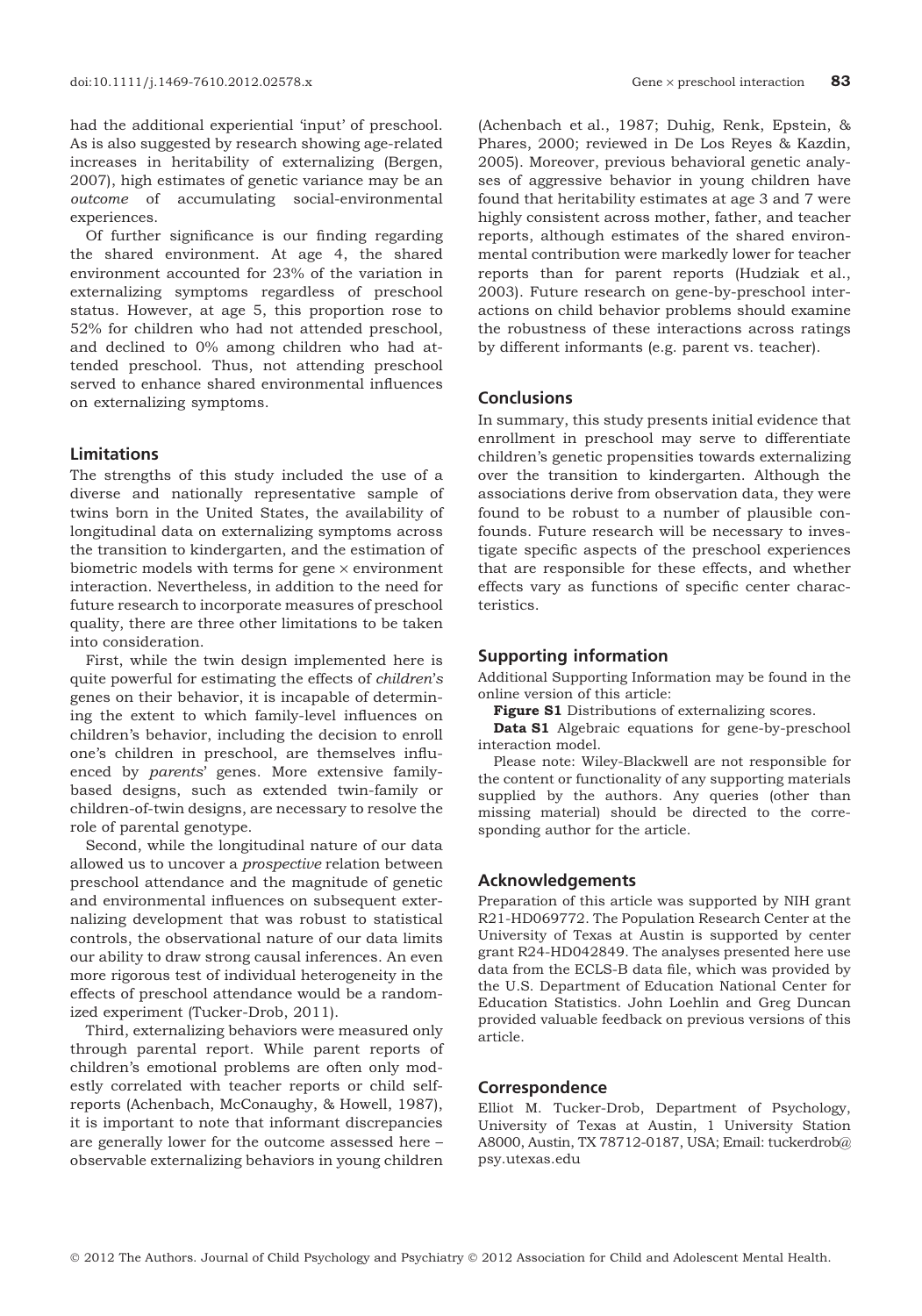had the additional experiential 'input' of preschool. As is also suggested by research showing age-related increases in heritability of externalizing (Bergen, 2007), high estimates of genetic variance may be an outcome of accumulating social-environmental experiences.

Of further significance is our finding regarding the shared environment. At age 4, the shared environment accounted for 23% of the variation in externalizing symptoms regardless of preschool status. However, at age 5, this proportion rose to 52% for children who had not attended preschool, and declined to 0% among children who had attended preschool. Thus, not attending preschool served to enhance shared environmental influences on externalizing symptoms.

## Limitations

The strengths of this study included the use of a diverse and nationally representative sample of twins born in the United States, the availability of longitudinal data on externalizing symptoms across the transition to kindergarten, and the estimation of biometric models with terms for gene  $\times$  environment interaction. Nevertheless, in addition to the need for future research to incorporate measures of preschool quality, there are three other limitations to be taken into consideration.

First, while the twin design implemented here is quite powerful for estimating the effects of children's genes on their behavior, it is incapable of determining the extent to which family-level influences on children's behavior, including the decision to enroll one's children in preschool, are themselves influenced by parents' genes. More extensive familybased designs, such as extended twin-family or children-of-twin designs, are necessary to resolve the role of parental genotype.

Second, while the longitudinal nature of our data allowed us to uncover a *prospective* relation between preschool attendance and the magnitude of genetic and environmental influences on subsequent externalizing development that was robust to statistical controls, the observational nature of our data limits our ability to draw strong causal inferences. An even more rigorous test of individual heterogeneity in the effects of preschool attendance would be a randomized experiment (Tucker-Drob, 2011).

Third, externalizing behaviors were measured only through parental report. While parent reports of children's emotional problems are often only modestly correlated with teacher reports or child selfreports (Achenbach, McConaughy, & Howell, 1987), it is important to note that informant discrepancies are generally lower for the outcome assessed here – observable externalizing behaviors in young children

(Achenbach et al., 1987; Duhig, Renk, Epstein, & Phares, 2000; reviewed in De Los Reyes & Kazdin, 2005). Moreover, previous behavioral genetic analyses of aggressive behavior in young children have found that heritability estimates at age 3 and 7 were highly consistent across mother, father, and teacher reports, although estimates of the shared environmental contribution were markedly lower for teacher reports than for parent reports (Hudziak et al., 2003). Future research on gene-by-preschool interactions on child behavior problems should examine the robustness of these interactions across ratings by different informants (e.g. parent vs. teacher).

## **Conclusions**

In summary, this study presents initial evidence that enrollment in preschool may serve to differentiate children's genetic propensities towards externalizing over the transition to kindergarten. Although the associations derive from observation data, they were found to be robust to a number of plausible confounds. Future research will be necessary to investigate specific aspects of the preschool experiences that are responsible for these effects, and whether effects vary as functions of specific center characteristics.

#### Supporting information

Additional Supporting Information may be found in the online version of this article:

Figure S1 Distributions of externalizing scores.

Data S1 Algebraic equations for gene-by-preschool interaction model.

Please note: Wiley-Blackwell are not responsible for the content or functionality of any supporting materials supplied by the authors. Any queries (other than missing material) should be directed to the corresponding author for the article.

#### Acknowledgements

Preparation of this article was supported by NIH grant R21-HD069772. The Population Research Center at the University of Texas at Austin is supported by center grant R24-HD042849. The analyses presented here use data from the ECLS-B data file, which was provided by the U.S. Department of Education National Center for Education Statistics. John Loehlin and Greg Duncan provided valuable feedback on previous versions of this article.

#### Correspondence

Elliot M. Tucker-Drob, Department of Psychology, University of Texas at Austin, 1 University Station A8000, Austin, TX 78712-0187, USA; Email: tuckerdrob@ psy.utexas.edu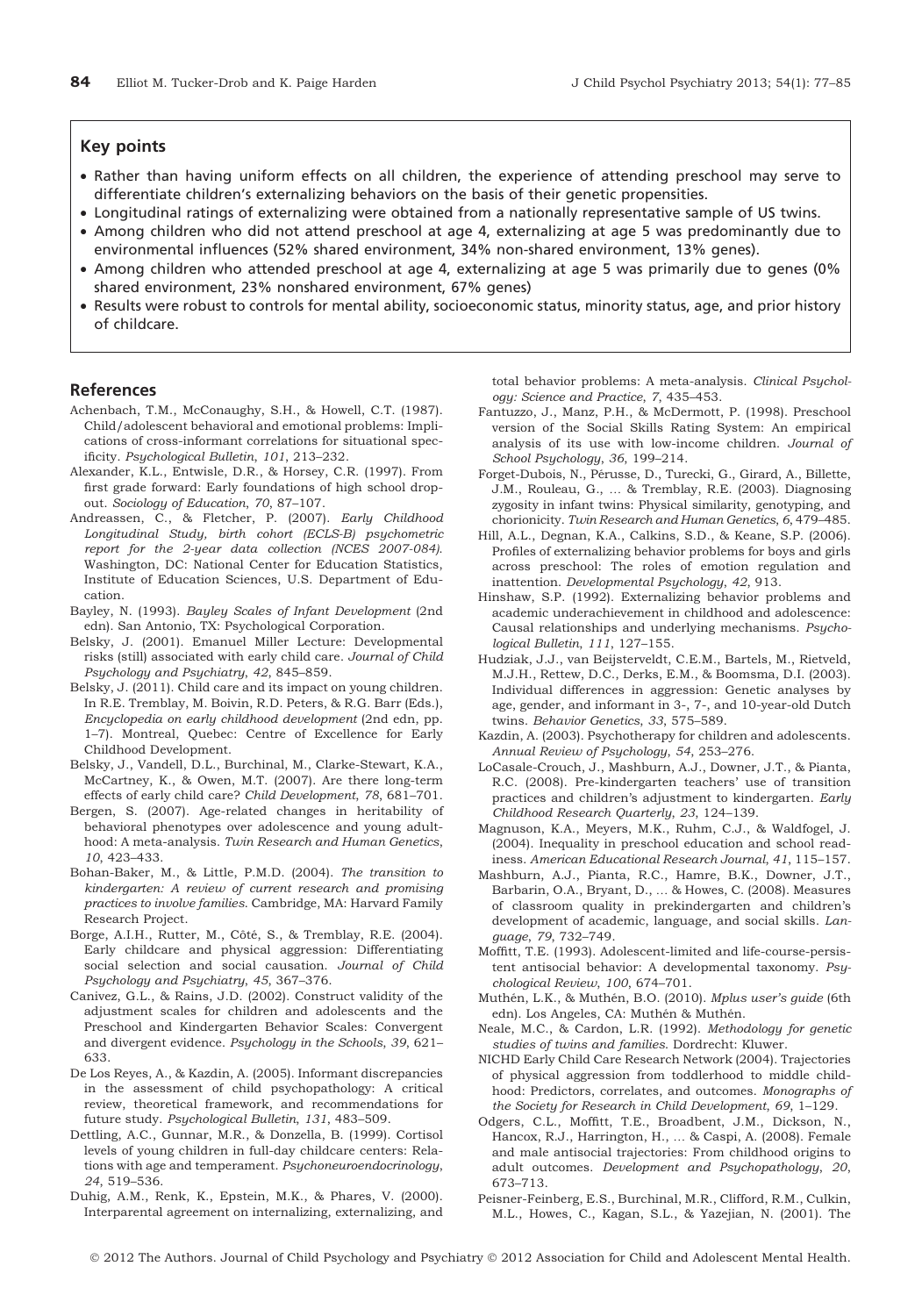## Key points

- Rather than having uniform effects on all children, the experience of attending preschool may serve to differentiate children's externalizing behaviors on the basis of their genetic propensities.
- Longitudinal ratings of externalizing were obtained from a nationally representative sample of US twins.
- Among children who did not attend preschool at age 4, externalizing at age 5 was predominantly due to environmental influences (52% shared environment, 34% non-shared environment, 13% genes).
- Among children who attended preschool at age 4, externalizing at age 5 was primarily due to genes (0% shared environment, 23% nonshared environment, 67% genes)
- Results were robust to controls for mental ability, socioeconomic status, minority status, age, and prior history of childcare.

#### References

- Achenbach, T.M., McConaughy, S.H., & Howell, C.T. (1987). Child/adolescent behavioral and emotional problems: Implications of cross-informant correlations for situational specificity. Psychological Bulletin, 101, 213–232.
- Alexander, K.L., Entwisle, D.R., & Horsey, C.R. (1997). From first grade forward: Early foundations of high school dropout. Sociology of Education, 70, 87–107.
- Andreassen, C., & Fletcher, P. (2007). Early Childhood Longitudinal Study, birth cohort (ECLS-B) psychometric report for the 2-year data collection (NCES 2007-084). Washington, DC: National Center for Education Statistics, Institute of Education Sciences, U.S. Department of Education.
- Bayley, N. (1993). Bayley Scales of Infant Development (2nd edn). San Antonio, TX: Psychological Corporation.
- Belsky, J. (2001). Emanuel Miller Lecture: Developmental risks (still) associated with early child care. Journal of Child Psychology and Psychiatry, 42, 845–859.
- Belsky, J. (2011). Child care and its impact on young children. In R.E. Tremblay, M. Boivin, R.D. Peters, & R.G. Barr (Eds.), Encyclopedia on early childhood development (2nd edn, pp. 1–7). Montreal, Quebec: Centre of Excellence for Early Childhood Development.
- Belsky, J., Vandell, D.L., Burchinal, M., Clarke-Stewart, K.A., McCartney, K., & Owen, M.T. (2007). Are there long-term effects of early child care? Child Development, 78, 681–701.
- Bergen, S. (2007). Age-related changes in heritability of behavioral phenotypes over adolescence and young adulthood: A meta-analysis. Twin Research and Human Genetics, 10, 423–433.
- Bohan-Baker, M., & Little, P.M.D. (2004). The transition to kindergarten: A review of current research and promising practices to involve families. Cambridge, MA: Harvard Family Research Project.
- Borge, A.I.H., Rutter, M., Côté, S., & Tremblay, R.E. (2004). Early childcare and physical aggression: Differentiating social selection and social causation. Journal of Child Psychology and Psychiatry, 45, 367–376.
- Canivez, G.L., & Rains, J.D. (2002). Construct validity of the adjustment scales for children and adolescents and the Preschool and Kindergarten Behavior Scales: Convergent and divergent evidence. Psychology in the Schools, 39, 621– 633.
- De Los Reyes, A., & Kazdin, A. (2005). Informant discrepancies in the assessment of child psychopathology: A critical review, theoretical framework, and recommendations for future study. Psychological Bulletin, 131, 483–509.
- Dettling, A.C., Gunnar, M.R., & Donzella, B. (1999). Cortisol levels of young children in full-day childcare centers: Relations with age and temperament. Psychoneuroendocrinology, 24, 519–536.
- Duhig, A.M., Renk, K., Epstein, M.K., & Phares, V. (2000). Interparental agreement on internalizing, externalizing, and

total behavior problems: A meta-analysis. Clinical Psychology: Science and Practice, 7, 435–453.

- Fantuzzo, J., Manz, P.H., & McDermott, P. (1998). Preschool version of the Social Skills Rating System: An empirical analysis of its use with low-income children. Journal of School Psychology, 36, 199–214.
- Forget-Dubois, N., Pérusse, D., Turecki, G., Girard, A., Billette, J.M., Rouleau, G., … & Tremblay, R.E. (2003). Diagnosing zygosity in infant twins: Physical similarity, genotyping, and chorionicity. Twin Research and Human Genetics, 6, 479–485.
- Hill, A.L., Degnan, K.A., Calkins, S.D., & Keane, S.P. (2006). Profiles of externalizing behavior problems for boys and girls across preschool: The roles of emotion regulation and inattention. Developmental Psychology, 42, 913.
- Hinshaw, S.P. (1992). Externalizing behavior problems and academic underachievement in childhood and adolescence: Causal relationships and underlying mechanisms. Psychological Bulletin, 111, 127–155.
- Hudziak, J.J., van Beijsterveldt, C.E.M., Bartels, M., Rietveld, M.J.H., Rettew, D.C., Derks, E.M., & Boomsma, D.I. (2003). Individual differences in aggression: Genetic analyses by age, gender, and informant in 3-, 7-, and 10-year-old Dutch twins. Behavior Genetics, 33, 575–589.
- Kazdin, A. (2003). Psychotherapy for children and adolescents. Annual Review of Psychology, 54, 253–276.
- LoCasale-Crouch, J., Mashburn, A.J., Downer, J.T., & Pianta, R.C. (2008). Pre-kindergarten teachers' use of transition practices and children's adjustment to kindergarten. Early Childhood Research Quarterly, 23, 124–139.
- Magnuson, K.A., Meyers, M.K., Ruhm, C.J., & Waldfogel, J. (2004). Inequality in preschool education and school readiness. American Educational Research Journal, 41, 115–157.
- Mashburn, A.J., Pianta, R.C., Hamre, B.K., Downer, J.T., Barbarin, O.A., Bryant, D., … & Howes, C. (2008). Measures of classroom quality in prekindergarten and children's development of academic, language, and social skills. Language, 79, 732–749.
- Moffitt, T.E. (1993). Adolescent-limited and life-course-persistent antisocial behavior: A developmental taxonomy. Psychological Review, 100, 674–701.
- Muthén, L.K., & Muthén, B.O. (2010). Mplus user's guide (6th edn). Los Angeles, CA: Muthén & Muthén.
- Neale, M.C., & Cardon, L.R. (1992). Methodology for genetic studies of twins and families. Dordrecht: Kluwer.
- NICHD Early Child Care Research Network (2004). Trajectories of physical aggression from toddlerhood to middle childhood: Predictors, correlates, and outcomes. Monographs of the Society for Research in Child Development, 69, 1–129.
- Odgers, C.L., Moffitt, T.E., Broadbent, J.M., Dickson, N., Hancox, R.J., Harrington, H., … & Caspi, A. (2008). Female and male antisocial trajectories: From childhood origins to adult outcomes. Development and Psychopathology, 20, 673–713.
- Peisner-Feinberg, E.S., Burchinal, M.R., Clifford, R.M., Culkin, M.L., Howes, C., Kagan, S.L., & Yazejian, N. (2001). The